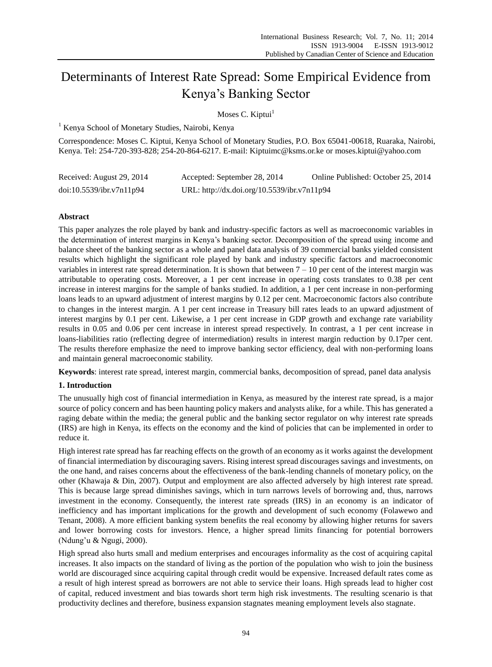# Determinants of Interest Rate Spread: Some Empirical Evidence from Kenya's Banking Sector

Moses C. Kiptui<sup>1</sup>

<sup>1</sup> Kenya School of Monetary Studies, Nairobi, Kenya

Correspondence: Moses C. Kiptui, Kenya School of Monetary Studies, P.O. Box 65041-00618, Ruaraka, Nairobi, Kenya. Tel: 254-720-393-828; 254-20-864-6217. E-mail: Kiptuimc@ksms.or.ke or moses.kiptui@yahoo.com

| Received: August 29, 2014 | Accepted: September 28, 2014                | Online Published: October 25, 2014 |
|---------------------------|---------------------------------------------|------------------------------------|
| doi:10.5539/ibr.v7n11p94  | URL: http://dx.doi.org/10.5539/ibr.v7n11p94 |                                    |

### **Abstract**

This paper analyzes the role played by bank and industry-specific factors as well as macroeconomic variables in the determination of interest margins in Kenya's banking sector. Decomposition of the spread using income and balance sheet of the banking sector as a whole and panel data analysis of 39 commercial banks yielded consistent results which highlight the significant role played by bank and industry specific factors and macroeconomic variables in interest rate spread determination. It is shown that between  $7 - 10$  per cent of the interest margin was attributable to operating costs. Moreover, a 1 per cent increase in operating costs translates to 0.38 per cent increase in interest margins for the sample of banks studied. In addition, a 1 per cent increase in non-performing loans leads to an upward adjustment of interest margins by 0.12 per cent. Macroeconomic factors also contribute to changes in the interest margin. A 1 per cent increase in Treasury bill rates leads to an upward adjustment of interest margins by 0.1 per cent. Likewise, a 1 per cent increase in GDP growth and exchange rate variability results in 0.05 and 0.06 per cent increase in interest spread respectively. In contrast, a 1 per cent increase in loans-liabilities ratio (reflecting degree of intermediation) results in interest margin reduction by 0.17per cent. The results therefore emphasize the need to improve banking sector efficiency, deal with non-performing loans and maintain general macroeconomic stability.

**Keywords**: interest rate spread, interest margin, commercial banks, decomposition of spread, panel data analysis

### **1. Introduction**

The unusually high cost of financial intermediation in Kenya, as measured by the interest rate spread, is a major source of policy concern and has been haunting policy makers and analysts alike, for a while. This has generated a raging debate within the media; the general public and the banking sector regulator on why interest rate spreads (IRS) are high in Kenya, its effects on the economy and the kind of policies that can be implemented in order to reduce it.

High interest rate spread has far reaching effects on the growth of an economy as it works against the development of financial intermediation by discouraging savers. Rising interest spread discourages savings and investments, on the one hand, and raises concerns about the effectiveness of the bank-lending channels of monetary policy, on the other (Khawaja & Din, 2007). Output and employment are also affected adversely by high interest rate spread. This is because large spread diminishes savings, which in turn narrows levels of borrowing and, thus, narrows investment in the economy. Consequently, the interest rate spreads (IRS) in an economy is an indicator of inefficiency and has important implications for the growth and development of such economy (Folawewo and Tenant, 2008). A more efficient banking system benefits the real economy by allowing higher returns for savers and lower borrowing costs for investors. Hence, a higher spread limits financing for potential borrowers (Ndung'u & Ngugi, 2000).

High spread also hurts small and medium enterprises and encourages informality as the cost of acquiring capital increases. It also impacts on the standard of living as the portion of the population who wish to join the business world are discouraged since acquiring capital through credit would be expensive. Increased default rates come as a result of high interest spread as borrowers are not able to service their loans. High spreads lead to higher cost of capital, reduced investment and bias towards short term high risk investments. The resulting scenario is that productivity declines and therefore, business expansion stagnates meaning employment levels also stagnate.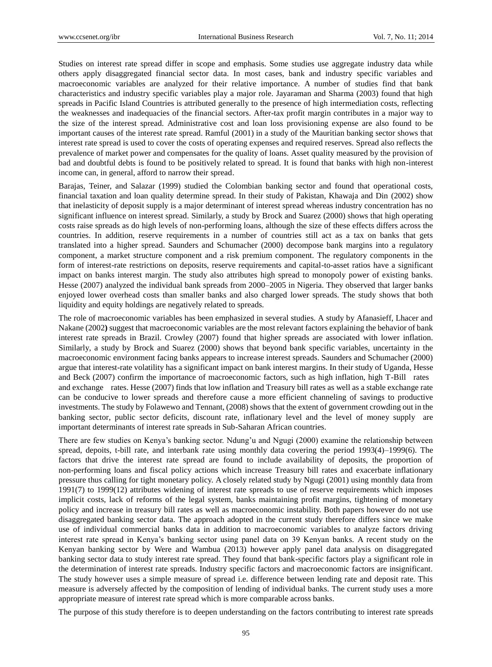Studies on interest rate spread differ in scope and emphasis. Some studies use aggregate industry data while others apply disaggregated financial sector data. In most cases, bank and industry specific variables and macroeconomic variables are analyzed for their relative importance. A number of studies find that bank characteristics and industry specific variables play a major role. Jayaraman and Sharma (2003) found that high spreads in Pacific Island Countries is attributed generally to the presence of high intermediation costs, reflecting the weaknesses and inadequacies of the financial sectors. After-tax profit margin contributes in a major way to the size of the interest spread. Administrative cost and loan loss provisioning expense are also found to be important causes of the interest rate spread. Ramful (2001) in a study of the Mauritian banking sector shows that interest rate spread is used to cover the costs of operating expenses and required reserves. Spread also reflects the prevalence of market power and compensates for the quality of loans. Asset quality measured by the provision of bad and doubtful debts is found to be positively related to spread. It is found that banks with high non-interest income can, in general, afford to narrow their spread.

Barajas, Teiner, and Salazar (1999) studied the Colombian banking sector and found that operational costs, financial taxation and loan quality determine spread. In their study of Pakistan, Khawaja and Din (2002) show that inelasticity of deposit supply is a major determinant of interest spread whereas industry concentration has no significant influence on interest spread. Similarly, a study by Brock and Suarez (2000) shows that high operating costs raise spreads as do high levels of non-performing loans, although the size of these effects differs across the countries. In addition, reserve requirements in a number of countries still act as a tax on banks that gets translated into a higher spread. Saunders and Schumacher (2000) decompose bank margins into a regulatory component, a market structure component and a risk premium component. The regulatory components in the form of interest-rate restrictions on deposits, reserve requirements and capital-to-asset ratios have a significant impact on banks interest margin. The study also attributes high spread to monopoly power of existing banks. Hesse (2007) analyzed the individual bank spreads from 2000–2005 in Nigeria. They observed that larger banks enjoyed lower overhead costs than smaller banks and also charged lower spreads. The study shows that both liquidity and equity holdings are negatively related to spreads.

The role of macroeconomic variables has been emphasized in several studies. A study by Afanasieff, Lhacer and Nakane (2002**)** suggest that macroeconomic variables are the most relevant factors explaining the behavior of bank interest rate spreads in Brazil. Crowley (2007) found that higher spreads are associated with lower inflation. Similarly, a study by Brock and Suarez (2000) shows that beyond bank specific variables, uncertainty in the macroeconomic environment facing banks appears to increase interest spreads. Saunders and Schumacher (2000) argue that interest-rate volatility has a significant impact on bank interest margins. In their study of Uganda, Hesse and Beck (2007) confirm the importance of macroeconomic factors, such as high inflation, high T-Bill [r](http://hinari-gw.who.int/whalecomwww.sciencedirect.com/whalecom0/science?_ob=ArticleURL&_udi=B6VBV-4T35NK5-1&_user=2778664&_coverDate=03%2F31%2F2009&_alid=1164768274&_rdoc=2&_fmt=high&_orig=search&_cdi=5936&_sort=r&_docanchor=&view=c&_ct=172&_acct=C000049744&_version=1&_urlVersion=0&_userid=2778664&md5=216240b6d559206d3f178be7e3dbb2e0#hit4#hit4)ate[s](http://hinari-gw.who.int/whalecomwww.sciencedirect.com/whalecom0/science?_ob=ArticleURL&_udi=B6VBV-4T35NK5-1&_user=2778664&_coverDate=03%2F31%2F2009&_alid=1164768274&_rdoc=2&_fmt=high&_orig=search&_cdi=5936&_sort=r&_docanchor=&view=c&_ct=172&_acct=C000049744&_version=1&_urlVersion=0&_userid=2778664&md5=216240b6d559206d3f178be7e3dbb2e0#hit6#hit6) and exchange [r](http://hinari-gw.who.int/whalecomwww.sciencedirect.com/whalecom0/science?_ob=ArticleURL&_udi=B6VBV-4T35NK5-1&_user=2778664&_coverDate=03%2F31%2F2009&_alid=1164768274&_rdoc=2&_fmt=high&_orig=search&_cdi=5936&_sort=r&_docanchor=&view=c&_ct=172&_acct=C000049744&_version=1&_urlVersion=0&_userid=2778664&md5=216240b6d559206d3f178be7e3dbb2e0#hit5#hit5)ates. Hesse (2007) finds that low inflation and Treasury bill rates as well as a stable exchange rate can be conducive to lower spreads and therefore cause a more efficient channeling of savings to productive investments. The study by Folawewo and Tennant, (2008) shows that the extent of government crowding out in the banking sector, public sector deficits, discount rate, inflationary level and the level of money supply are important determinants of interest rate spreads in Sub-Saharan African countries.

There are few studies on Kenya's banking sector. Ndung'u and Ngugi (2000) examine the relationship between spread, depoits, t-bill rate, and interbank rate using monthly data covering the period 1993(4)–1999(6). The factors that drive the interest rate spread are found to include availability of deposits, the proportion of non-performing loans and fiscal policy actions which increase Treasury bill rates and exacerbate inflationary pressure thus calling for tight monetary policy. A closely related study by Ngugi (2001) using monthly data from 1991(7) to 1999(12) attributes widening of interest rate spreads to use of reserve requirements which imposes implicit costs, lack of reforms of the legal system, banks maintaining profit margins, tightening of monetary policy and increase in treasury bill rates as well as macroeconomic instability. Both papers however do not use disaggregated banking sector data. The approach adopted in the current study therefore differs since we make use of individual commercial banks data in addition to macroeconomic variables to analyze factors driving interest rate spread in Kenya's banking sector using panel data on 39 Kenyan banks. A recent study on the Kenyan banking sector by Were and Wambua (2013) however apply panel data analysis on disaggregated banking sector data to study interest rate spread. They found that bank-specific factors play a significant role in the determination of interest rate spreads. Industry specific factors and macroeconomic factors are insignificant. The study however uses a simple measure of spread i.e. difference between lending rate and deposit rate. This measure is adversely affected by the composition of lending of individual banks. The current study uses a more appropriate measure of interest rate spread which is more comparable across banks.

The purpose of this study therefore is to deepen understanding on the factors contributing to interest rate spreads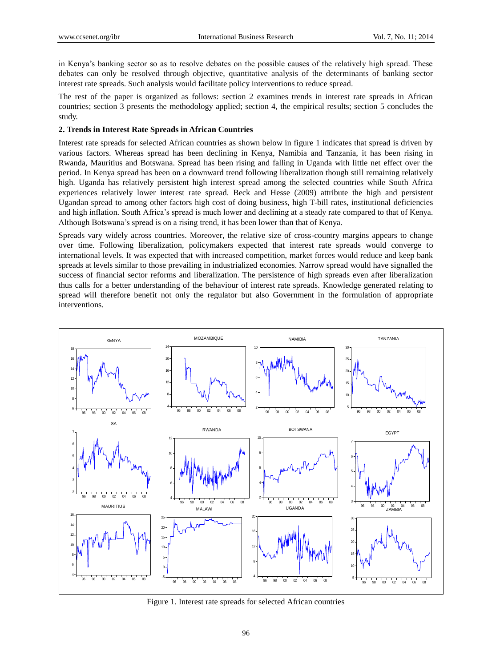in Kenya's banking sector so as to resolve debates on the possible causes of the relatively high spread. These debates can only be resolved through objective, quantitative analysis of the determinants of banking sector interest rate spreads. Such analysis would facilitate policy interventions to reduce spread.

The rest of the paper is organized as follows: section 2 examines trends in interest rate spreads in African countries; section 3 presents the methodology applied; section 4, the empirical results; section 5 concludes the study.

#### **2. Trends in Interest Rate Spreads in African Countries**

Interest rate spreads for selected African countries as shown below in figure 1 indicates that spread is driven by various factors. Whereas spread has been declining in Kenya, Namibia and Tanzania, it has been rising in Rwanda, Mauritius and Botswana. Spread has been rising and falling in Uganda with little net effect over the period. In Kenya spread has been on a downward trend following liberalization though still remaining relatively high. Uganda has relatively persistent high interest spread among the selected countries while South Africa experiences relatively lower interest rate spread. Beck and Hesse (2009) attribute the high and persistent Ugandan spread to among other factors high cost of doing business, high T-bill rates, institutional deficiencies and high inflation. South Africa's spread is much lower and declining at a steady rate compared to that of Kenya. Although Botswana's spread is on a rising trend, it has been lower than that of Kenya.

Spreads vary widely across countries. Moreover, the relative size of cross-country margins appears to change over time. Following liberalization, policymakers expected that interest rate spreads would converge to international levels. It was expected that with increased competition, market forces would reduce and keep bank spreads at levels similar to those prevailing in industrialized economies. Narrow spread would have signalled the success of financial sector reforms and liberalization. The persistence of high spreads even after liberalization thus calls for a better understanding of the behaviour of interest rate spreads. Knowledge generated relating to spread will therefore benefit not only the regulator but also Government in the formulation of appropriate interventions.



Figure 1. Interest rate spreads for selected African countries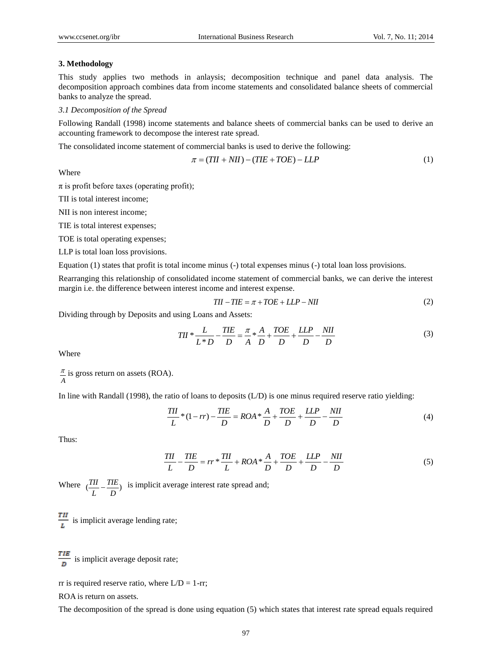#### **3. Methodology**

This study applies two methods in anlaysis; decomposition technique and panel data analysis. The decomposition approach combines data from income statements and consolidated balance sheets of commercial banks to analyze the spread.

*3.1 Decomposition of the Spread*

Following Randall (1998) income statements and balance sheets of commercial banks can be used to derive an accounting framework to decompose the interest rate spread.

The consolidated income statement of commercial banks is used to derive the following:

$$
\pi = (TII + NII) - (TIE + TOE) - LLP \tag{1}
$$

Where

 $\pi$  is profit before taxes (operating profit);

TII is total interest income;

NII is non interest income;

TIE is total interest expenses;

TOE is total operating expenses;

LLP is total loan loss provisions.

Equation (1) states that profit is total income minus (-) total expenses minus (-) total loan loss provisions.

Rearranging this relationship of consolidated income statement of commercial banks, we can derive the interest margin i.e. the difference between interest income and interest expense.

$$
TII - TIE = \pi + TOE + LLP - NII
$$
\n<sup>(2)</sup>

Dividing through by Deposits and using Loans and Assets:

$$
TII \ast \frac{L}{L \ast D} - \frac{TIE}{D} = \frac{\pi}{A} \ast \frac{A}{D} + \frac{TOE}{D} + \frac{LLP}{D} - \frac{NII}{D}
$$
(3)

Where

*A*  $\frac{\pi}{2}$  is gross return on assets (ROA).

In line with Randall (1998), the ratio of loans to deposits (L/D) is one minus required reserve ratio yielding:

$$
\frac{TH}{L} * (1 - rr) - \frac{TE}{D} = ROA * \frac{A}{D} + \frac{TOE}{D} + \frac{LLP}{D} - \frac{NII}{D}
$$
(4)

Thus:

$$
\frac{TH}{L} - \frac{THE}{D} = rr \times \frac{TH}{L} + ROA \times \frac{A}{D} + \frac{TOE}{D} + \frac{LLP}{D} - \frac{NII}{D}
$$
(5)

Where  $\left(\frac{III}{L} - \frac{IIE}{D}\right)$ *TIE L*  $\frac{TH}{1} - \frac{TE}{1}$  is implicit average interest rate spread and;

 $\frac{TH}{L}$  is implicit average lending rate;

 $rac{THE}{D}$  is implicit average deposit rate;

rr is required reserve ratio, where  $L/D = 1$ -rr;

ROA is return on assets.

The decomposition of the spread is done using equation (5) which states that interest rate spread equals required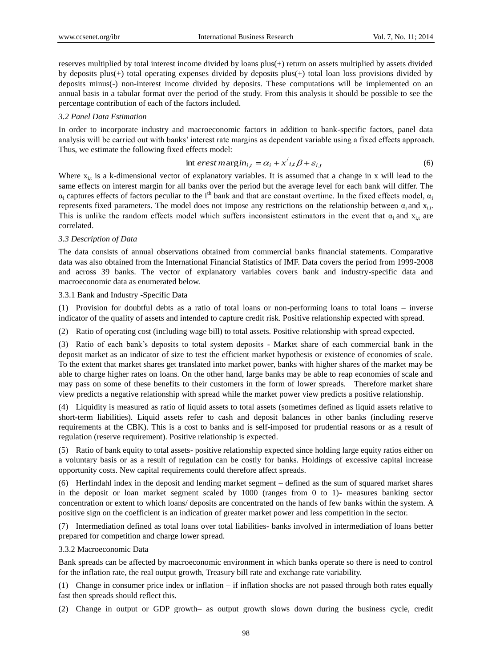reserves multiplied by total interest income divided by loans plus(+) return on assets multiplied by assets divided by deposits plus(+) total operating expenses divided by deposits plus(+) total loan loss provisions divided by deposits minus(-) non-interest income divided by deposits. These computations will be implemented on an annual basis in a tabular format over the period of the study. From this analysis it should be possible to see the percentage contribution of each of the factors included.

### *3.2 Panel Data Estimation*

In order to incorporate industry and macroeconomic factors in addition to bank-specific factors, panel data analysis will be carried out with banks' interest rate margins as dependent variable using a fixed effects approach. Thus, we estimate the following fixed effects model:

$$
\text{int } \text{erest } \text{margin}_{i,t} = \alpha_i + x'_{i,t} \beta + \varepsilon_{i,t} \tag{6}
$$

Where  $x_{i,t}$  is a k-dimensional vector of explanatory variables. It is assumed that a change in x will lead to the same effects on interest margin for all banks over the period but the average level for each bank will differ. The  $\alpha_i$  captures effects of factors peculiar to the i<sup>th</sup> bank and that are constant overtime. In the fixed effects model,  $\alpha_i$ represents fixed parameters. The model does not impose any restrictions on the relationship between  $\alpha_i$  and  $x_{i,t}$ . This is unlike the random effects model which suffers inconsistent estimators in the event that  $\alpha_i$  and  $x_i$ , are correlated.

### *3.3 Description of Data*

The data consists of annual observations obtained from commercial banks financial statements. Comparative data was also obtained from the International Financial Statistics of IMF. Data covers the period from 1999-2008 and across 39 banks. The vector of explanatory variables covers bank and industry-specific data and macroeconomic data as enumerated below.

### 3.3.1 Bank and Industry -Specific Data

(1) Provision for doubtful debts as a ratio of total loans or non-performing loans to total loans – inverse indicator of the quality of assets and intended to capture credit risk. Positive relationship expected with spread.

(2) Ratio of operating cost (including wage bill) to total assets. Positive relationship with spread expected.

(3) Ratio of each bank's deposits to total system deposits - Market share of each commercial bank in the deposit market as an indicator of size to test the efficient market hypothesis or existence of economies of scale. To the extent that market shares get translated into market power, banks with higher shares of the market may be able to charge higher rates on loans. On the other hand, large banks may be able to reap economies of scale and may pass on some of these benefits to their customers in the form of lower spreads. Therefore market share view predicts a negative relationship with spread while the market power view predicts a positive relationship.

(4) Liquidity is measured as ratio of liquid assets to total assets (sometimes defined as liquid assets relative to short-term liabilities). Liquid assets refer to cash and deposit balances in other banks (including reserve requirements at the CBK). This is a cost to banks and is self-imposed for prudential reasons or as a result of regulation (reserve requirement). Positive relationship is expected.

(5) Ratio of bank equity to total assets- positive relationship expected since holding large equity ratios either on a voluntary basis or as a result of regulation can be costly for banks. Holdings of excessive capital increase opportunity costs. New capital requirements could therefore affect spreads.

(6) Herfindahl index in the deposit and lending market segment – defined as the sum of squared market shares in the deposit or loan market segment scaled by 1000 (ranges from 0 to 1)- measures banking sector concentration or extent to which loans/ deposits are concentrated on the hands of few banks within the system. A positive sign on the coefficient is an indication of greater market power and less competition in the sector.

(7) Intermediation defined as total loans over total liabilities- banks involved in intermediation of loans better prepared for competition and charge lower spread.

### 3.3.2 Macroeconomic Data

Bank spreads can be affected by macroeconomic environment in which banks operate so there is need to control for the inflation rate, the real output growth, Treasury bill rate and exchange rate variability.

(1) Change in consumer price index or inflation – if inflation shocks are not passed through both rates equally fast then spreads should reflect this.

(2) Change in output or GDP growth– as output growth slows down during the business cycle, credit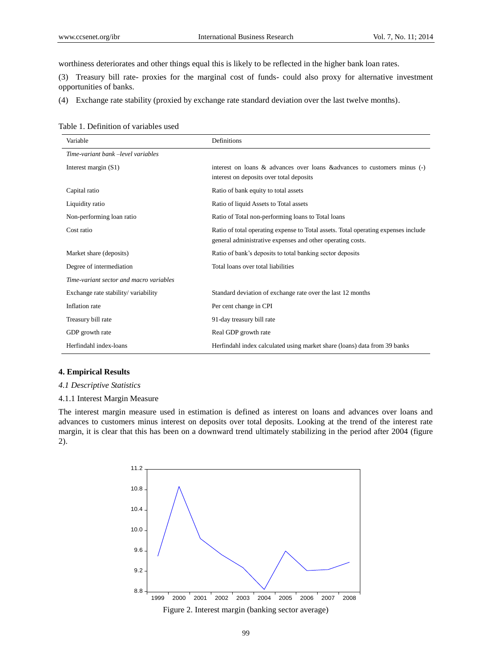worthiness de*t*eriorates and other things equal this is likely to be reflected in the higher bank loan rates.

(3) Treasury bill rate- proxies for the marginal cost of funds- could also proxy for alternative investment opportunities of banks.

(4) Exchange rate stability (proxied by exchange rate standard deviation over the last twelve months).

| Table 1. Definition of variables used |  |
|---------------------------------------|--|
|---------------------------------------|--|

| Variable                                | Definitions                                                                                                                                      |
|-----------------------------------------|--------------------------------------------------------------------------------------------------------------------------------------------------|
| Time-variant bank -level variables      |                                                                                                                                                  |
| Interest margin $(S1)$                  | interest on loans & advances over loans & advances to customers minus (-)<br>interest on deposits over total deposits                            |
| Capital ratio                           | Ratio of bank equity to total assets                                                                                                             |
| Liquidity ratio                         | Ratio of liquid Assets to Total assets                                                                                                           |
| Non-performing loan ratio               | Ratio of Total non-performing loans to Total loans                                                                                               |
| Cost ratio                              | Ratio of total operating expense to Total assets. Total operating expenses include<br>general administrative expenses and other operating costs. |
| Market share (deposits)                 | Ratio of bank's deposits to total banking sector deposits                                                                                        |
| Degree of intermediation                | Total loans over total liabilities                                                                                                               |
| Time-variant sector and macro variables |                                                                                                                                                  |
| Exchange rate stability/variability     | Standard deviation of exchange rate over the last 12 months                                                                                      |
| Inflation rate                          | Per cent change in CPI                                                                                                                           |
| Treasury bill rate                      | 91-day treasury bill rate                                                                                                                        |
| GDP growth rate                         | Real GDP growth rate                                                                                                                             |
| Herfindahl index-loans                  | Herfindahl index calculated using market share (loans) data from 39 banks                                                                        |

### **4. Empirical Results**

#### *4.1 Descriptive Statistics*

4.1.1 Interest Margin Measure

The interest margin measure used in estimation is defined as interest on loans and advances over loans and advances to customers minus interest on deposits over total deposits. Looking at the trend of the interest rate margin, it is clear that this has been on a downward trend ultimately stabilizing in the period after 2004 (figure 2).

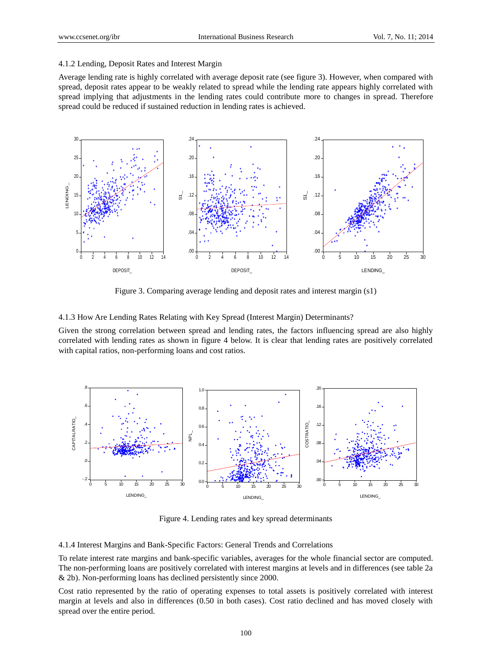#### 4.1.2 Lending, Deposit Rates and Interest Margin

Average lending rate is highly correlated with average deposit rate (see figure 3). However, when compared with spread, deposit rates appear to be weakly related to spread while the lending rate appears highly correlated with spread implying that adjustments in the lending rates could contribute more to changes in spread. Therefore spread could be reduced if sustained reduction in lending rates is achieved.



Figure 3. Comparing average lending and deposit rates and interest margin (s1)

4.1.3 How Are Lending Rates Relating with Key Spread (Interest Margin) Determinants?

Given the strong correlation between spread and lending rates, the factors influencing spread are also highly correlated with lending rates as shown in figure 4 below. It is clear that lending rates are positively correlated with capital ratios, non-performing loans and cost ratios.



Figure 4. Lending rates and key spread determinants

4.1.4 Interest Margins and Bank-Specific Factors: General Trends and Correlations

To relate interest rate margins and bank-specific variables, averages for the whole financial sector are computed. The non-performing loans are positively correlated with interest margins at levels and in differences (see table 2a & 2b). Non-performing loans has declined persistently since 2000.

Cost ratio represented by the ratio of operating expenses to total assets is positively correlated with interest margin at levels and also in differences (0.50 in both cases). Cost ratio declined and has moved closely with spread over the entire period.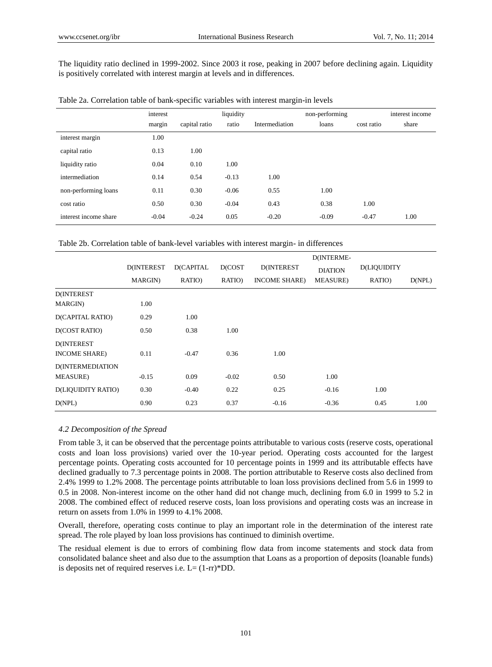The liquidity ratio declined in 1999-2002. Since 2003 it rose, peaking in 2007 before declining again. Liquidity is positively correlated with interest margin at levels and in differences.

|                       | interest |               | liquidity |                | non-performing |            | interest income |
|-----------------------|----------|---------------|-----------|----------------|----------------|------------|-----------------|
|                       | margin   | capital ratio | ratio     | Intermediation | loans          | cost ratio | share           |
| interest margin       | 1.00     |               |           |                |                |            |                 |
| capital ratio         | 0.13     | 1.00          |           |                |                |            |                 |
| liquidity ratio       | 0.04     | 0.10          | 1.00      |                |                |            |                 |
| intermediation        | 0.14     | 0.54          | $-0.13$   | 1.00           |                |            |                 |
| non-performing loans  | 0.11     | 0.30          | $-0.06$   | 0.55           | 1.00           |            |                 |
| cost ratio            | 0.50     | 0.30          | $-0.04$   | 0.43           | 0.38           | 1.00       |                 |
| interest income share | $-0.04$  | $-0.24$       | 0.05      | $-0.20$        | $-0.09$        | $-0.47$    | 1.00            |

| Table 2a. Correlation table of bank-specific variables with interest margin-in levels |  |  |  |  |
|---------------------------------------------------------------------------------------|--|--|--|--|
|                                                                                       |  |  |  |  |
|                                                                                       |  |  |  |  |

Table 2b. Correlation table of bank-level variables with interest margin- in differences

|                           |                    |                  |         |                       | D(INTERME-       |                    |        |
|---------------------------|--------------------|------------------|---------|-----------------------|------------------|--------------------|--------|
|                           | <b>D(INTEREST)</b> | <b>D(CAPITAL</b> | D(COST  | <b>D(INTEREST)</b>    | <b>DIATION</b>   | <b>D(LIQUIDITY</b> |        |
|                           | MARGIN)            | RATIO)           | RATIO)  | <b>INCOME SHARE</b> ) | <b>MEASURE</b> ) | RATIO)             | D(NPL) |
| <b>D(INTEREST)</b>        |                    |                  |         |                       |                  |                    |        |
| MARGIN)                   | 1.00               |                  |         |                       |                  |                    |        |
| D(CAPITAL RATIO)          | 0.29               | 1.00             |         |                       |                  |                    |        |
| D(COST RATIO)             | 0.50               | 0.38             | 1.00    |                       |                  |                    |        |
| <b>D(INTEREST)</b>        |                    |                  |         |                       |                  |                    |        |
| <b>INCOME SHARE</b> )     | 0.11               | $-0.47$          | 0.36    | 1.00                  |                  |                    |        |
| <b>D(INTERMEDIATION</b>   |                    |                  |         |                       |                  |                    |        |
| <b>MEASURE</b> )          | $-0.15$            | 0.09             | $-0.02$ | 0.50                  | 1.00             |                    |        |
| <b>D(LIQUIDITY RATIO)</b> | 0.30               | $-0.40$          | 0.22    | 0.25                  | $-0.16$          | 1.00               |        |
| D(NPL)                    | 0.90               | 0.23             | 0.37    | $-0.16$               | $-0.36$          | 0.45               | 1.00   |

#### *4.2 Decomposition of the Spread*

From table 3, it can be observed that the percentage points attributable to various costs (reserve costs, operational costs and loan loss provisions) varied over the 10-year period. Operating costs accounted for the largest percentage points. Operating costs accounted for 10 percentage points in 1999 and its attributable effects have declined gradually to 7.3 percentage points in 2008. The portion attributable to Reserve costs also declined from 2.4% 1999 to 1.2% 2008. The percentage points attributable to loan loss provisions declined from 5.6 in 1999 to 0.5 in 2008. Non-interest income on the other hand did not change much, declining from 6.0 in 1999 to 5.2 in 2008. The combined effect of reduced reserve costs, loan loss provisions and operating costs was an increase in return on assets from 1.0% in 1999 to 4.1% 2008.

Overall, therefore, operating costs continue to play an important role in the determination of the interest rate spread. The role played by loan loss provisions has continued to diminish overtime.

The residual element is due to errors of combining flow data from income statements and stock data from consolidated balance sheet and also due to the assumption that Loans as a proportion of deposits (loanable funds) is deposits net of required reserves i.e.  $L = (1-rr) * DD$ .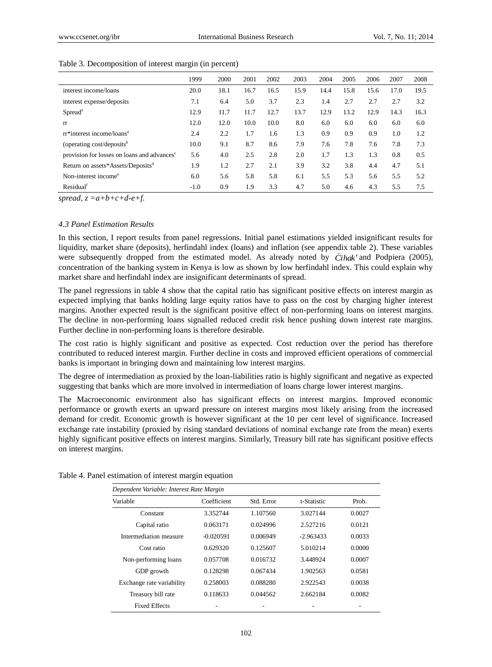|                                                         | 1999   | 2000 | 2001 | 2002 | 2003 | 2004 | 2005 | 2006 | 2007 | 2008 |
|---------------------------------------------------------|--------|------|------|------|------|------|------|------|------|------|
| interest income/loans                                   | 20.0   | 18.1 | 16.7 | 16.5 | 15.9 | 14.4 | 15.8 | 15.6 | 17.0 | 19.5 |
| interest expense/deposits                               | 7.1    | 6.4  | 5.0  | 3.7  | 2.3  | 1.4  | 2.7  | 2.7  | 2.7  | 3.2  |
| $S$ pread <sup><math>z</math></sup>                     | 12.9   | 11.7 | 11.7 | 12.7 | 13.7 | 12.9 | 13.2 | 12.9 | 14.3 | 16.3 |
| <b>rr</b>                                               | 12.0   | 12.0 | 10.0 | 10.0 | 8.0  | 6.0  | 6.0  | 6.0  | 6.0  | 6.0  |
| rr*interest income/loans <sup>a</sup>                   | 2.4    | 2.2  | 1.7  | 1.6  | 1.3  | 0.9  | 0.9  | 0.9  | 1.0  | 1.2  |
| (operating cost/deposits <sup>b</sup>                   | 10.0   | 9.1  | 8.7  | 8.6  | 7.9  | 7.6  | 7.8  | 7.6  | 7.8  | 7.3  |
| provision for losses on loans and advances <sup>c</sup> | 5.6    | 4.0  | 2.5  | 2.8  | 2.0  | 1.7  | 1.3  | 1.3  | 0.8  | 0.5  |
| Return on assets*Assets/Deposits <sup>d</sup>           | 1.9    | 1.2  | 2.7  | 2.1  | 3.9  | 3.2  | 3.8  | 4.4  | 4.7  | 5.1  |
| Non-interest income <sup>e</sup>                        | 6.0    | 5.6  | 5.8  | 5.8  | 6.1  | 5.5  | 5.3  | 5.6  | 5.5  | 5.2  |
| Residual <sup>t</sup>                                   | $-1.0$ | 0.9  | 1.9  | 3.3  | 4.7  | 5.0  | 4.6  | 4.3  | 5.5  | 7.5  |

#### Table 3. Decomposition of interest margin (in percent)

*spread,*  $z = a+b+c+d-e+f$ .

#### *4.3 Panel Estimation Results*

In this section, I report results from panel regressions. Initial panel estimations yielded insignificant results for liquidity, market share (deposits), herfindahl index (loans) and inflation (see appendix table 2). These variables natively, market share (deposits), nerrindant model (toans) and initiation (see appendix table 2). These variables<br>were subsequently dropped from the estimated model. As already noted by *Cihak'* and Podpiera (2005), concentration of the banking system in Kenya is low as shown by low herfindahl index. This could explain why market share and herfindahl index are insignificant determinants of spread.

The panel regressions in table 4 show that the capital ratio has significant positive effects on interest margin as expected implying that banks holding large equity ratios have to pass on the cost by charging higher interest margins. Another expected result is the significant positive effect of non-performing loans on interest margins. The decline in non-performing loans signalled reduced credit risk hence pushing down interest rate margins. Further decline in non-performing loans is therefore desirable.

The cost ratio is highly significant and positive as expected. Cost reduction over the period has therefore contributed to reduced interest margin. Further decline in costs and improved efficient operations of commercial banks is important in bringing down and maintaining low interest margins.

The degree of intermediation as proxied by the loan-liabilities ratio is highly significant and negative as expected suggesting that banks which are more involved in intermediation of loans charge lower interest margins.

The Macroeconomic environment also has significant effects on interest margins. Improved economic performance or growth exerts an upward pressure on interest margins most likely arising from the increased demand for credit. Economic growth is however significant at the 10 per cent level of significance. Increased exchange rate instability (proxied by rising standard deviations of nominal exchange rate from the mean) exerts highly significant positive effects on interest margins. Similarly, Treasury bill rate has significant positive effects on interest margins.

| Dependent Variable: Interest Rate Margin |             |            |             |        |  |  |  |  |  |  |
|------------------------------------------|-------------|------------|-------------|--------|--|--|--|--|--|--|
| Variable                                 | Coefficient | Std. Error | t-Statistic | Prob.  |  |  |  |  |  |  |
| Constant                                 | 3.352744    | 1.107560   | 3.027144    | 0.0027 |  |  |  |  |  |  |
| Capital ratio                            | 0.063171    | 0.024996   | 2.527216    | 0.0121 |  |  |  |  |  |  |
| Intermediation measure                   | $-0.020591$ | 0.006949   | $-2.963433$ | 0.0033 |  |  |  |  |  |  |
| Cost ratio                               | 0.629320    | 0.125607   | 5.010214    | 0.0000 |  |  |  |  |  |  |
| Non-performing loans                     | 0.057708    | 0.016732   | 3.448924    | 0.0007 |  |  |  |  |  |  |
| GDP growth                               | 0.128298    | 0.067434   | 1.902563    | 0.0581 |  |  |  |  |  |  |
| Exchange rate variability                | 0.258003    | 0.088280   | 2.922543    | 0.0038 |  |  |  |  |  |  |
| Treasury bill rate                       | 0.118633    | 0.044562   | 2.662184    | 0.0082 |  |  |  |  |  |  |
| <b>Fixed Effects</b>                     |             |            |             |        |  |  |  |  |  |  |

|  | Table 4. Panel estimation of interest margin equation |  |
|--|-------------------------------------------------------|--|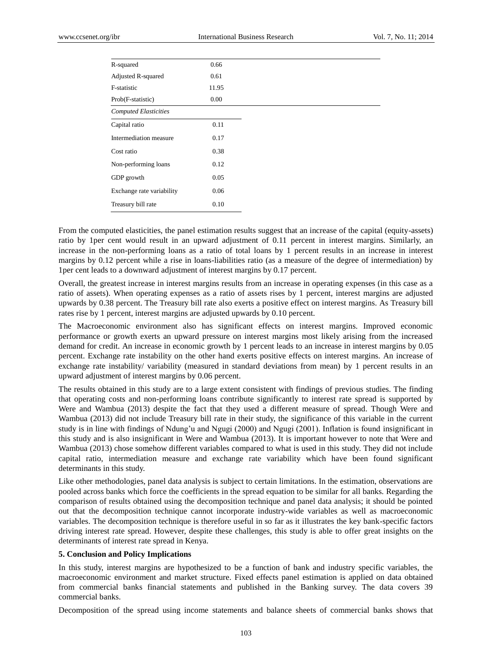| R-squared                    | 0.66  |
|------------------------------|-------|
| <b>Adjusted R-squared</b>    | 0.61  |
| F-statistic                  | 11.95 |
| Prob(F-statistic)            | 0.00  |
| <b>Computed Elasticities</b> |       |
| Capital ratio                | 0.11  |
| Intermediation measure       | 0.17  |
| Cost ratio                   | 0.38  |
| Non-performing loans         | 0.12  |
| GDP growth                   | 0.05  |
| Exchange rate variability    | 0.06  |
| Treasury bill rate           | 0.10  |

From the computed elasticities, the panel estimation results suggest that an increase of the capital (equity-assets) ratio by 1per cent would result in an upward adjustment of 0.11 percent in interest margins. Similarly, an increase in the non-performing loans as a ratio of total loans by 1 percent results in an increase in interest margins by 0.12 percent while a rise in loans-liabilities ratio (as a measure of the degree of intermediation) by 1per cent leads to a downward adjustment of interest margins by 0.17 percent.

Overall, the greatest increase in interest margins results from an increase in operating expenses (in this case as a ratio of assets). When operating expenses as a ratio of assets rises by 1 percent, interest margins are adjusted upwards by 0.38 percent. The Treasury bill rate also exerts a positive effect on interest margins. As Treasury bill rates rise by 1 percent, interest margins are adjusted upwards by 0.10 percent.

The Macroeconomic environment also has significant effects on interest margins. Improved economic performance or growth exerts an upward pressure on interest margins most likely arising from the increased demand for credit. An increase in economic growth by 1 percent leads to an increase in interest margins by 0.05 percent. Exchange rate instability on the other hand exerts positive effects on interest margins. An increase of exchange rate instability/ variability (measured in standard deviations from mean) by 1 percent results in an upward adjustment of interest margins by 0.06 percent.

The results obtained in this study are to a large extent consistent with findings of previous studies. The finding that operating costs and non-performing loans contribute significantly to interest rate spread is supported by Were and Wambua (2013) despite the fact that they used a different measure of spread. Though Were and Wambua (2013) did not include Treasury bill rate in their study, the significance of this variable in the current study is in line with findings of Ndung'u and Ngugi (2000) and Ngugi (2001). Inflation is found insignificant in this study and is also insignificant in Were and Wambua (2013). It is important however to note that Were and Wambua (2013) chose somehow different variables compared to what is used in this study. They did not include capital ratio, intermediation measure and exchange rate variability which have been found significant determinants in this study.

Like other methodologies, panel data analysis is subject to certain limitations. In the estimation, observations are pooled across banks which force the coefficients in the spread equation to be similar for all banks. Regarding the comparison of results obtained using the decomposition technique and panel data analysis; it should be pointed out that the decomposition technique cannot incorporate industry-wide variables as well as macroeconomic variables. The decomposition technique is therefore useful in so far as it illustrates the key bank-specific factors driving interest rate spread. However, despite these challenges, this study is able to offer great insights on the determinants of interest rate spread in Kenya.

#### **5. Conclusion and Policy Implications**

In this study, interest margins are hypothesized to be a function of bank and industry specific variables, the macroeconomic environment and market structure. Fixed effects panel estimation is applied on data obtained from commercial banks financial statements and published in the Banking survey. The data covers 39 commercial banks.

Decomposition of the spread using income statements and balance sheets of commercial banks shows that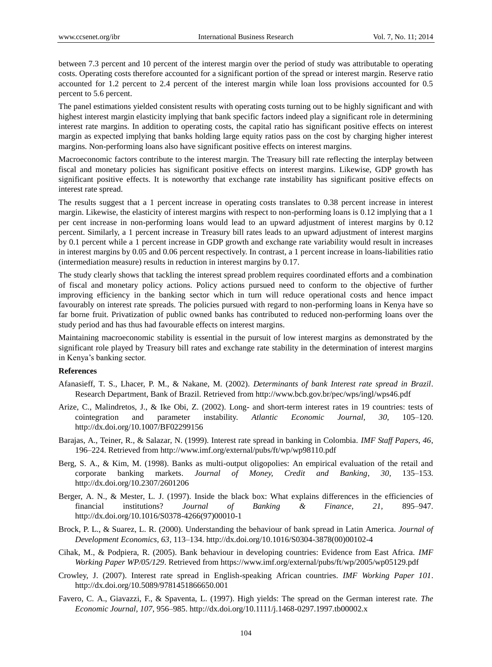between 7.3 percent and 10 percent of the interest margin over the period of study was attributable to operating costs. Operating costs therefore accounted for a significant portion of the spread or interest margin. Reserve ratio accounted for 1.2 percent to 2.4 percent of the interest margin while loan loss provisions accounted for 0.5 percent to 5.6 percent.

The panel estimations yielded consistent results with operating costs turning out to be highly significant and with highest interest margin elasticity implying that bank specific factors indeed play a significant role in determining interest rate margins. In addition to operating costs, the capital ratio has significant positive effects on interest margin as expected implying that banks holding large equity ratios pass on the cost by charging higher interest margins. Non-performing loans also have significant positive effects on interest margins.

Macroeconomic factors contribute to the interest margin. The Treasury bill rate reflecting the interplay between fiscal and monetary policies has significant positive effects on interest margins. Likewise, GDP growth has significant positive effects. It is noteworthy that exchange rate instability has significant positive effects on interest rate spread.

The results suggest that a 1 percent increase in operating costs translates to 0.38 percent increase in interest margin. Likewise, the elasticity of interest margins with respect to non-performing loans is 0.12 implying that a 1 per cent increase in non-performing loans would lead to an upward adjustment of interest margins by 0.12 percent. Similarly, a 1 percent increase in Treasury bill rates leads to an upward adjustment of interest margins by 0.1 percent while a 1 percent increase in GDP growth and exchange rate variability would result in increases in interest margins by 0.05 and 0.06 percent respectively. In contrast, a 1 percent increase in loans-liabilities ratio (intermediation measure) results in reduction in interest margins by 0.17.

The study clearly shows that tackling the interest spread problem requires coordinated efforts and a combination of fiscal and monetary policy actions. Policy actions pursued need to conform to the objective of further improving efficiency in the banking sector which in turn will reduce operational costs and hence impact favourably on interest rate spreads. The policies pursued with regard to non-performing loans in Kenya have so far borne fruit. Privatization of public owned banks has contributed to reduced non-performing loans over the study period and has thus had favourable effects on interest margins.

Maintaining macroeconomic stability is essential in the pursuit of low interest margins as demonstrated by the significant role played by Treasury bill rates and exchange rate stability in the determination of interest margins in Kenya's banking sector.

#### **References**

- Afanasieff, T. S., Lhacer, P. M., & Nakane, M. (2002). *Determinants of bank Interest rate spread in Brazil*. Research Department, Bank of Brazil. Retrieved from http://www.bcb.gov.br/pec/wps/ingl/wps46.pdf
- Arize, C., Malindretos, J., & Ike Obi, Z. (2002). Long- and short-term interest rates in 19 countries: tests of cointegration and parameter instability. *Atlantic Economic Journal, 30,* 105–120. http://dx.doi.org/10.1007/BF02299156
- Barajas, A., Teiner, R., & Salazar, N. (1999). Interest rate spread in banking in Colombia. *IMF Staff Papers, 46*, 196–224. Retrieved from http://www.imf.org/external/pubs/ft/wp/wp98110.pdf
- Berg, S. A., & Kim, M. (1998). Banks as multi-output oligopolies: An empirical evaluation of the retail and corporate banking markets. *Journal of Money, Credit and Banking*, *30,* 135–153. http://dx.doi.org/10.2307/2601206
- Berger, A. N., & Mester, L. J. (1997). Inside the black box: What explains differences in the efficiencies of financial institutions? *Journal of Banking & Finance, 21,* 895–947. http://dx.doi.org/10.1016/S0378-4266(97)00010-1
- Brock, P. L., & Suarez, L. R. (2000). Understanding the behaviour of bank spread in Latin America. *Journal of Development Economics, 63*, 113–134. http://dx.doi.org/10.1016/S0304-3878(00)00102-4
- Cihak, M., & Podpiera, R. (2005). Bank behaviour in developing countries: Evidence from East Africa. *IMF Working Paper WP/05/129*. Retrieved from https://www.imf.org/external/pubs/ft/wp/2005/wp05129.pdf
- Crowley, J. (2007). Interest rate spread in English-speaking African countries. *IMF Working Paper 101*. http://dx.doi.org/10.5089/9781451866650.001
- Favero, C. A., Giavazzi, F., & Spaventa, L. (1997). High yields: The spread on the German interest rate. *The Economic Journal, 107*, 956–985. http://dx.doi.org/10.1111/j.1468-0297.1997.tb00002.x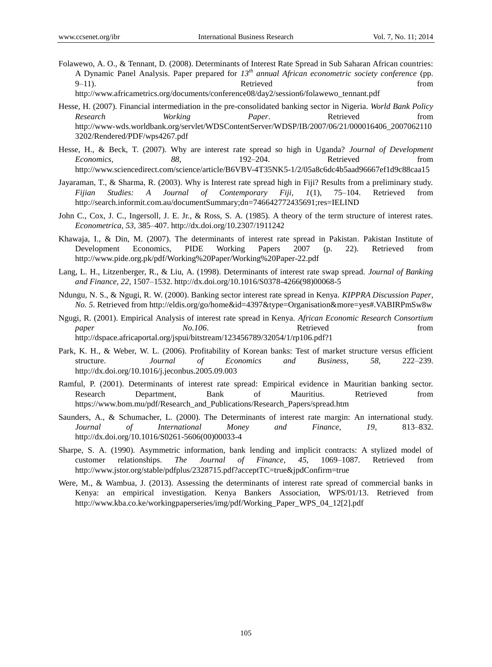Folawewo, A. O., & Tennant, D. (2008). Determinants of Interest Rate Spread in Sub Saharan African countries: A Dynamic Panel Analysis. Paper prepared for *13th annual African econometric society conference* (pp. 9–11). Retrieved from

http://www.africametrics.org/documents/conference08/day2/session6/folawewo\_tennant.pdf

- Hesse, H. (2007). Financial intermediation in the pre-consolidated banking sector in Nigeria. *World Bank Policy Research Working Paper*. Retrieved from http://www-wds.worldbank.org/servlet/WDSContentServer/WDSP/IB/2007/06/21/000016406\_2007062110 3202/Rendered/PDF/wps4267.pdf
- Hesse, H., & Beck, T. (2007). Why are interest rate spread so high in Uganda? *Journal of Development Economics, 88*, 192–204. Retrieved from http://www.sciencedirect.com/science/article/B6VBV-4T35NK5-1/2/05a8c6dc4b5aad96667ef1d9c88caa15
- Jayaraman, T., & Sharma, R. (2003). Why is Interest rate spread high in Fiji? Results from a preliminary study. *Fijian Studies: A Journal of Contemporary Fiji, 1*(1), 75–104. Retrieved from http://search.informit.com.au/documentSummary;dn=746642772435691;res=IELIND
- John C., Cox, J. C., Ingersoll, J. E. Jr., & Ross, S. A. (1985). A theory of the term structure of interest rates. *Econometrica, 53,* 385–407. http://dx.doi.org/10.2307/1911242
- Khawaja, I., & Din, M. (2007). The determinants of interest rate spread in Pakistan. Pakistan Institute of Development Economics, PIDE Working Papers 2007 (p. 22). Retrieved from http://www.pide.org.pk/pdf/Working%20Paper/Working%20Paper-22.pdf
- Lang, L. H., Litzenberger, R., & Liu, A. (1998). Determinants of interest rate swap spread. *Journal of Banking and Finance, 22*, 1507–1532. http://dx.doi.org/10.1016/S0378-4266(98)00068-5
- Ndungu, N. S., & Ngugi, R. W. (2000). Banking sector interest rate spread in Kenya. *KIPPRA Discussion Paper*, *No. 5*. Retrieved from http://eldis.org/go/home&id=4397&type=Organisation&more=yes#.VABIRPmSw8w
- Ngugi, R. (2001). Empirical Analysis of interest rate spread in Kenya. *African Economic Research Consortium paper No.106*. Retrieved **heating** *No.106*. http://dspace.africaportal.org/jspui/bitstream/123456789/32054/1/rp106.pdf?1
- Park, K. H., & Weber, W. L. (2006). Profitability of Korean banks: Test of market structure versus efficient structure. *Journal of Economics and Business, 58,* 222–239. http://dx.doi.org/10.1016/j.jeconbus.2005.09.003
- Ramful, P. (2001). Determinants of interest rate spread: Empirical evidence in Mauritian banking sector. Research Department, Bank of Mauritius. Retrieved from https://www.bom.mu/pdf/Research\_and\_Publications/Research\_Papers/spread.htm
- Saunders, A., & Schumacher, L. (2000). The Determinants of interest rate margin: An international study. *Journal of International Money and Finance, 19*, 813–832. http://dx.doi.org/10.1016/S0261-5606(00)00033-4
- Sharpe, S. A. (1990). Asymmetric information, bank lending and implicit contracts: A stylized model of customer relationships. *The Journal of Finance*, *45,* 1069–1087. Retrieved from http://www.jstor.org/stable/pdfplus/2328715.pdf?acceptTC=true&jpdConfirm=true
- Were, M., & Wambua, J. (2013). Assessing the determinants of interest rate spread of commercial banks in Kenya: an empirical investigation. Kenya Bankers Association, WPS/01/13. Retrieved from http://www.kba.co.ke/workingpaperseries/img/pdf/Working\_Paper\_WPS\_04\_12[2].pdf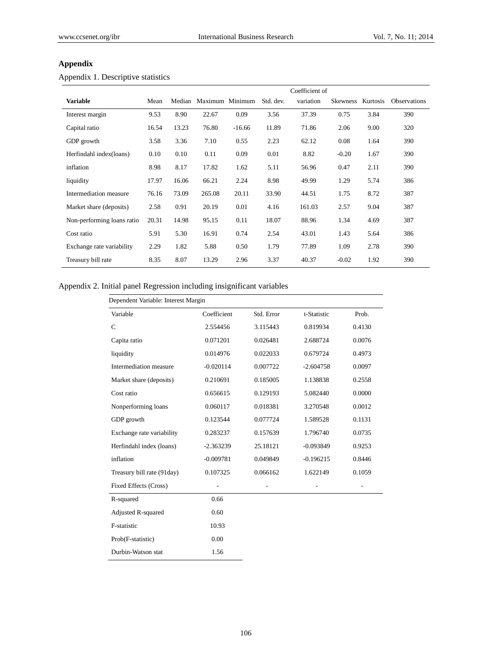### **Appendix**

# Appendix 1. Descriptive statistics

|                            | Coefficient of |       |                        |          |           |           |                 |          |                     |
|----------------------------|----------------|-------|------------------------|----------|-----------|-----------|-----------------|----------|---------------------|
| <b>Variable</b>            | Mean           |       | Median Maximum Minimum |          | Std. dev. | variation | <b>Skewness</b> | Kurtosis | <b>Observations</b> |
| Interest margin            | 9.53           | 8.90  | 22.67                  | 0.09     | 3.56      | 37.39     | 0.75            | 3.84     | 390                 |
| Capital ratio              | 16.54          | 13.23 | 76.80                  | $-16.66$ | 11.89     | 71.86     | 2.06            | 9.00     | 320                 |
| GDP growth                 | 3.58           | 3.36  | 7.10                   | 0.55     | 2.23      | 62.12     | 0.08            | 1.64     | 390                 |
| Herfindahl index(loans)    | 0.10           | 0.10  | 0.11                   | 0.09     | 0.01      | 8.82      | $-0.20$         | 1.67     | 390                 |
| inflation                  | 8.98           | 8.17  | 17.82                  | 1.62     | 5.11      | 56.96     | 0.47            | 2.11     | 390                 |
| liquidity                  | 17.97          | 16.06 | 66.21                  | 2.24     | 8.98      | 49.99     | 1.29            | 5.74     | 386                 |
| Intermediation measure     | 76.16          | 73.09 | 265.08                 | 20.11    | 33.90     | 44.51     | 1.75            | 8.72     | 387                 |
| Market share (deposits)    | 2.58           | 0.91  | 20.19                  | 0.01     | 4.16      | 161.03    | 2.57            | 9.04     | 387                 |
| Non-performing loans ratio | 20.31          | 14.98 | 95.15                  | 0.11     | 18.07     | 88.96     | 1.34            | 4.69     | 387                 |
| Cost ratio                 | 5.91           | 5.30  | 16.91                  | 0.74     | 2.54      | 43.01     | 1.43            | 5.64     | 386                 |
| Exchange rate variability  | 2.29           | 1.82  | 5.88                   | 0.50     | 1.79      | 77.89     | 1.09            | 2.78     | 390                 |
| Treasury bill rate         | 8.35           | 8.07  | 13.29                  | 2.96     | 3.37      | 40.37     | $-0.02$         | 1.92     | 390                 |

## Appendix 2. Initial panel Regression including insignificant variables

| Dependent Variable: Interest Margin |             |            |             |        |  |  |  |  |  |
|-------------------------------------|-------------|------------|-------------|--------|--|--|--|--|--|
| Variable                            | Coefficient | Std. Error | t-Statistic | Prob.  |  |  |  |  |  |
| $\mathbf C$                         | 2.554456    | 3.115443   | 0.819934    | 0.4130 |  |  |  |  |  |
| Capita ratio                        | 0.071201    | 0.026481   | 2.688724    | 0.0076 |  |  |  |  |  |
| liquidity                           | 0.014976    | 0.022033   | 0.679724    | 0.4973 |  |  |  |  |  |
| Intermediation measure              | $-0.020114$ | 0.007722   | $-2.604758$ | 0.0097 |  |  |  |  |  |
| Market share (deposits)             | 0.210691    | 0.185005   | 1.138838    | 0.2558 |  |  |  |  |  |
| Cost ratio                          | 0.656615    | 0.129193   | 5.082440    | 0.0000 |  |  |  |  |  |
| Nonperforming loans                 | 0.060117    | 0.018381   | 3.270548    | 0.0012 |  |  |  |  |  |
| GDP growth                          | 0.123544    | 0.077724   | 1.589528    | 0.1131 |  |  |  |  |  |
| Exchange rate variability           | 0.283237    | 0.157639   | 1.796740    | 0.0735 |  |  |  |  |  |
| Herfindahl index (loans)            | $-2.363239$ | 25.18121   | $-0.093849$ | 0.9253 |  |  |  |  |  |
| inflation                           | $-0.009781$ | 0.049849   | $-0.196215$ | 0.8446 |  |  |  |  |  |
| Treasury bill rate (91day)          | 0.107325    | 0.066162   | 1.622149    | 0.1059 |  |  |  |  |  |
| Fixed Effects (Cross)               |             |            |             |        |  |  |  |  |  |
| R-squared                           | 0.66        |            |             |        |  |  |  |  |  |
| <b>Adjusted R-squared</b>           | 0.60        |            |             |        |  |  |  |  |  |
| F-statistic                         | 10.93       |            |             |        |  |  |  |  |  |
| Prob(F-statistic)                   | 0.00        |            |             |        |  |  |  |  |  |
| Durbin-Watson stat                  | 1.56        |            |             |        |  |  |  |  |  |